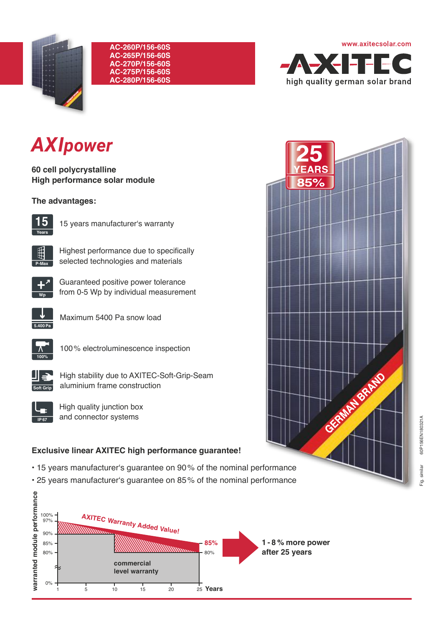





*AXIpower*

**60 cell polycrystalline High performance solar module** 

# **The advantages:**



15 years manufacturer's warranty



Highest performance due to specifically selected technologies and materials



Guaranteed positive power tolerance from 0-5 Wp by individual measurement



Maximum 5400 Pa snow load



100 % electroluminescence inspection



High stability due to AXITEC-Soft-Grip-Seam aluminium frame construction

![](_page_0_Picture_18.jpeg)

High quality junction box and connector systems

# **Exclusive linear AXITEC high performance guarantee!**

- 15 years manufacturer's guarantee on 90 % of the nominal performance
- 25 years manufacturer's guarantee on 85 % of the nominal performance

![](_page_0_Figure_23.jpeg)

GERMAN SPARID